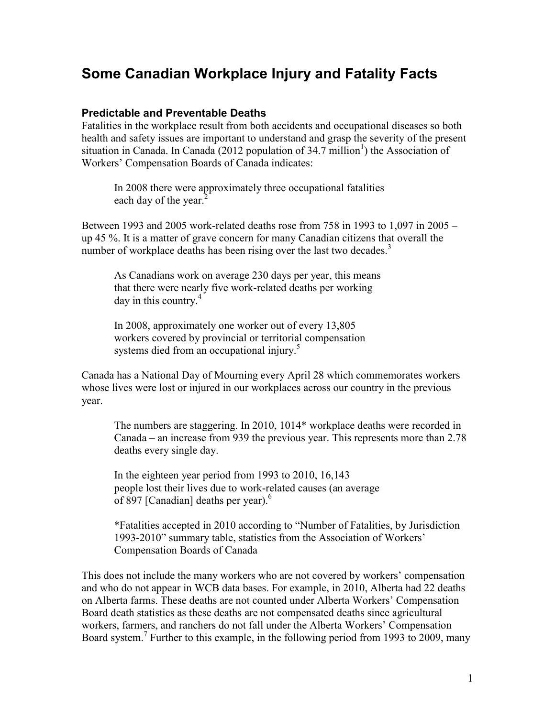# **Some Canadian Workplace Injury and Fatality Facts**

#### **Predictable and Preventable Deaths**

Fatalities in the workplace result from both accidents and occupational diseases so both health and safety issues are important to understand and grasp the severity of the present situation in Canada. In Canada (2012 population of 34.7 million<sup>1</sup>) the Association of Workers' Compensation Boards of Canada indicates:

In 2008 there were approximately three occupational fatalities each day of the year.<sup>2</sup>

Between 1993 and 2005 work-related deaths rose from 758 in 1993 to 1,097 in 2005 – up 45 %. It is a matter of grave concern for many Canadian citizens that overall the number of workplace deaths has been rising over the last two decades.<sup>3</sup>

As Canadians work on average 230 days per year, this means that there were nearly five work-related deaths per working day in this country. $4$ 

In 2008, approximately one worker out of every 13,805 workers covered by provincial or territorial compensation systems died from an occupational injury.<sup>5</sup>

Canada has a National Day of Mourning every April 28 which commemorates workers whose lives were lost or injured in our workplaces across our country in the previous year.

The numbers are staggering. In 2010, 1014\* workplace deaths were recorded in Canada – an increase from 939 the previous year. This represents more than 2.78 deaths every single day.

In the eighteen year period from 1993 to 2010, 16,143 people lost their lives due to work-related causes (an average of 897 [Canadian] deaths per year).<sup>6</sup>

\*Fatalities accepted in 2010 according to "Number of Fatalities, by Jurisdiction 1993-2010" summary table, statistics from the Association of Workers' Compensation Boards of Canada

This does not include the many workers who are not covered by workers' compensation and who do not appear in WCB data bases. For example, in 2010, Alberta had 22 deaths on Alberta farms. These deaths are not counted under Alberta Workers' Compensation Board death statistics as these deaths are not compensated deaths since agricultural workers, farmers, and ranchers do not fall under the Alberta Workers' Compensation Board system.<sup>7</sup> Further to this example, in the following period from 1993 to 2009, many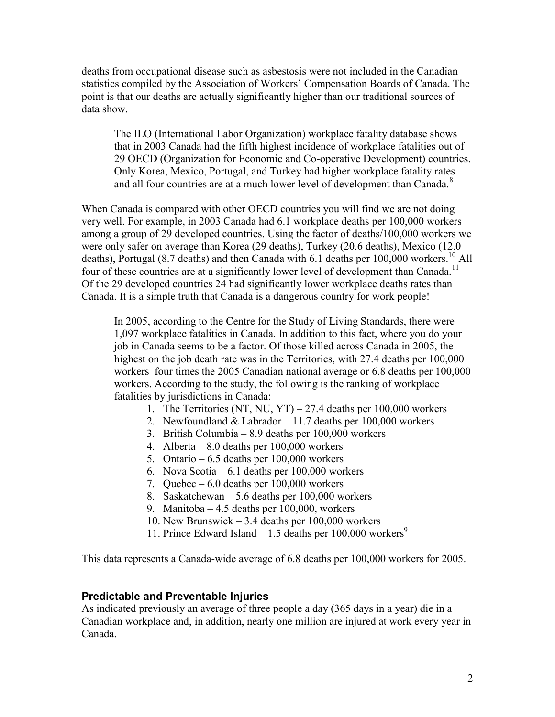deaths from occupational disease such as asbestosis were not included in the Canadian statistics compiled by the Association of Workers' Compensation Boards of Canada. The point is that our deaths are actually significantly higher than our traditional sources of data show.

The ILO (International Labor Organization) workplace fatality database shows that in 2003 Canada had the fifth highest incidence of workplace fatalities out of 29 OECD (Organization for Economic and Co-operative Development) countries. Only Korea, Mexico, Portugal, and Turkey had higher workplace fatality rates and all four countries are at a much lower level of development than Canada.<sup>8</sup>

When Canada is compared with other OECD countries you will find we are not doing very well. For example, in 2003 Canada had 6.1 workplace deaths per 100,000 workers among a group of 29 developed countries. Using the factor of deaths/100,000 workers we were only safer on average than Korea (29 deaths), Turkey (20.6 deaths), Mexico (12.0 deaths), Portugal (8.7 deaths) and then Canada with 6.1 deaths per  $100,000$  workers.<sup>10</sup> All four of these countries are at a significantly lower level of development than Canada.<sup>11</sup> Of the 29 developed countries 24 had significantly lower workplace deaths rates than Canada. It is a simple truth that Canada is a dangerous country for work people!

In 2005, according to the Centre for the Study of Living Standards, there were 1,097 workplace fatalities in Canada. In addition to this fact, where you do your job in Canada seems to be a factor. Of those killed across Canada in 2005, the highest on the job death rate was in the Territories, with 27.4 deaths per 100,000 workers–four times the 2005 Canadian national average or 6.8 deaths per 100,000 workers. According to the study, the following is the ranking of workplace fatalities by jurisdictions in Canada:

- 1. The Territories (NT, NU, YT) 27.4 deaths per  $100,000$  workers
- 2. Newfoundland & Labrador 11.7 deaths per 100,000 workers
- 3. British Columbia 8.9 deaths per 100,000 workers
- 4. Alberta 8.0 deaths per 100,000 workers
- 5. Ontario  $6.5$  deaths per  $100,000$  workers
- 6. Nova Scotia 6.1 deaths per 100,000 workers
- 7. Quebec 6.0 deaths per 100,000 workers
- 8. Saskatchewan 5.6 deaths per 100,000 workers
- 9. Manitoba 4.5 deaths per 100,000, workers
- 10. New Brunswick 3.4 deaths per  $100,000$  workers
- 11. Prince Edward Island 1.5 deaths per  $100,000$  workers<sup>9</sup>

This data represents a Canada-wide average of 6.8 deaths per 100,000 workers for 2005.

#### **Predictable and Preventable Injuries**

As indicated previously an average of three people a day (365 days in a year) die in a Canadian workplace and, in addition, nearly one million are injured at work every year in Canada.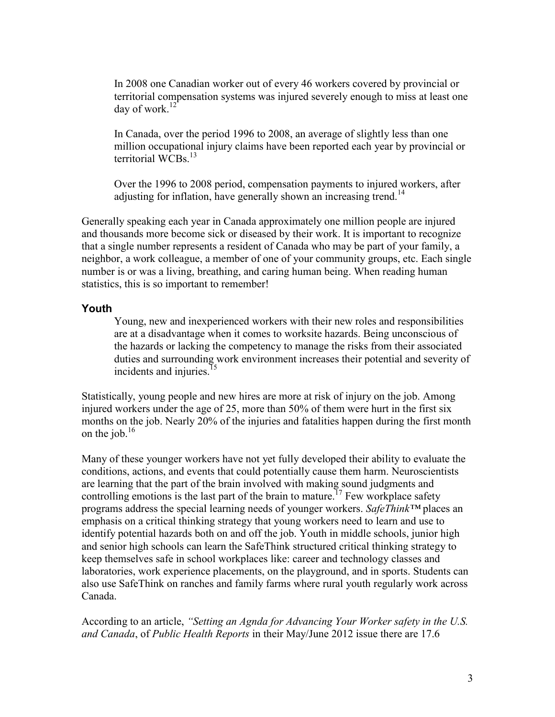In 2008 one Canadian worker out of every 46 workers covered by provincial or territorial compensation systems was injured severely enough to miss at least one day of work.<sup>12</sup>

In Canada, over the period 1996 to 2008, an average of slightly less than one million occupational injury claims have been reported each year by provincial or territorial  $\rm{WCBs}$ <sup>13</sup>

Over the 1996 to 2008 period, compensation payments to injured workers, after adjusting for inflation, have generally shown an increasing trend.<sup>14</sup>

Generally speaking each year in Canada approximately one million people are injured and thousands more become sick or diseased by their work. It is important to recognize that a single number represents a resident of Canada who may be part of your family, a neighbor, a work colleague, a member of one of your community groups, etc. Each single number is or was a living, breathing, and caring human being. When reading human statistics, this is so important to remember!

#### **Youth**

Young, new and inexperienced workers with their new roles and responsibilities are at a disadvantage when it comes to worksite hazards. Being unconscious of the hazards or lacking the competency to manage the risks from their associated duties and surrounding work environment increases their potential and severity of incidents and injuries.<sup>15</sup>

Statistically, young people and new hires are more at risk of injury on the job. Among injured workers under the age of 25, more than 50% of them were hurt in the first six months on the job. Nearly 20% of the injuries and fatalities happen during the first month on the job. $^{16}$ 

Many of these younger workers have not yet fully developed their ability to evaluate the conditions, actions, and events that could potentially cause them harm. Neuroscientists are learning that the part of the brain involved with making sound judgments and controlling emotions is the last part of the brain to mature.<sup>17</sup> Few workplace safety programs address the special learning needs of younger workers. *SafeThink™* places an emphasis on a critical thinking strategy that young workers need to learn and use to identify potential hazards both on and off the job. Youth in middle schools, junior high and senior high schools can learn the SafeThink structured critical thinking strategy to keep themselves safe in school workplaces like: career and technology classes and laboratories, work experience placements, on the playground, and in sports. Students can also use SafeThink on ranches and family farms where rural youth regularly work across Canada.

According to an article, *"Setting an Agnda for Advancing Your Worker safety in the U.S. and Canada*, of *Public Health Reports* in their May/June 2012 issue there are 17.6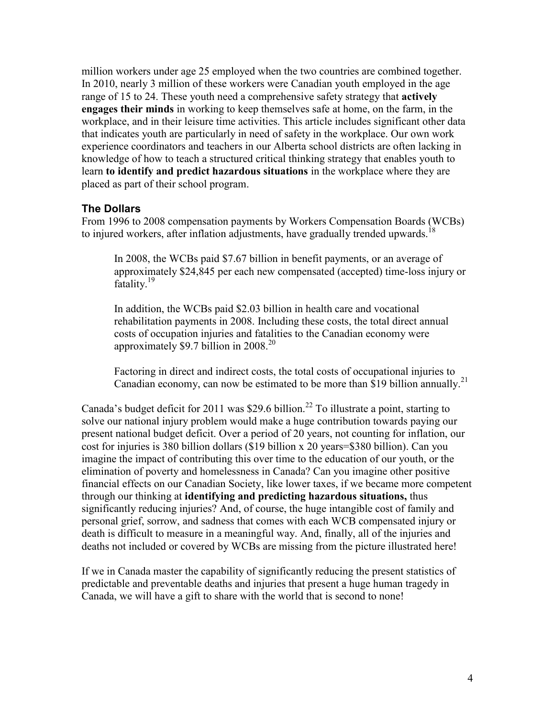million workers under age 25 employed when the two countries are combined together. In 2010, nearly 3 million of these workers were Canadian youth employed in the age range of 15 to 24. These youth need a comprehensive safety strategy that **actively engages their minds** in working to keep themselves safe at home, on the farm, in the workplace, and in their leisure time activities. This article includes significant other data that indicates youth are particularly in need of safety in the workplace. Our own work experience coordinators and teachers in our Alberta school districts are often lacking in knowledge of how to teach a structured critical thinking strategy that enables youth to learn **to identify and predict hazardous situations** in the workplace where they are placed as part of their school program.

### **The Dollars**

From 1996 to 2008 compensation payments by Workers Compensation Boards (WCBs) to injured workers, after inflation adjustments, have gradually trended upwards.<sup>18</sup>

In 2008, the WCBs paid \$7.67 billion in benefit payments, or an average of approximately \$24,845 per each new compensated (accepted) time-loss injury or fatality.<sup>19</sup>

In addition, the WCBs paid \$2.03 billion in health care and vocational rehabilitation payments in 2008. Including these costs, the total direct annual costs of occupation injuries and fatalities to the Canadian economy were approximately \$9.7 billion in  $2008.<sup>20</sup>$ 

Factoring in direct and indirect costs, the total costs of occupational injuries to Canadian economy, can now be estimated to be more than \$19 billion annually.<sup>21</sup>

Canada's budget deficit for 2011 was \$29.6 billion.<sup>22</sup> To illustrate a point, starting to solve our national injury problem would make a huge contribution towards paying our present national budget deficit. Over a period of 20 years, not counting for inflation, our cost for injuries is 380 billion dollars (\$19 billion x 20 years=\$380 billion). Can you imagine the impact of contributing this over time to the education of our youth, or the elimination of poverty and homelessness in Canada? Can you imagine other positive financial effects on our Canadian Society, like lower taxes, if we became more competent through our thinking at **identifying and predicting hazardous situations,** thus significantly reducing injuries? And, of course, the huge intangible cost of family and personal grief, sorrow, and sadness that comes with each WCB compensated injury or death is difficult to measure in a meaningful way. And, finally, all of the injuries and deaths not included or covered by WCBs are missing from the picture illustrated here!

If we in Canada master the capability of significantly reducing the present statistics of predictable and preventable deaths and injuries that present a huge human tragedy in Canada, we will have a gift to share with the world that is second to none!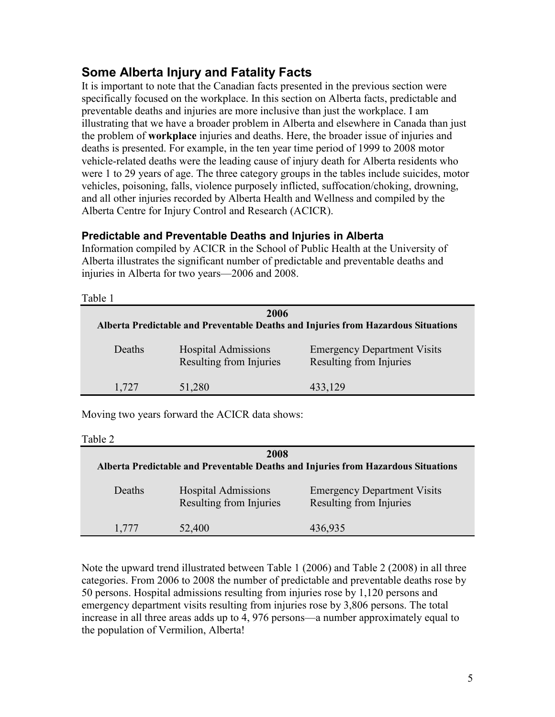## **Some Alberta Injury and Fatality Facts**

It is important to note that the Canadian facts presented in the previous section were specifically focused on the workplace. In this section on Alberta facts, predictable and preventable deaths and injuries are more inclusive than just the workplace. I am illustrating that we have a broader problem in Alberta and elsewhere in Canada than just the problem of **workplace** injuries and deaths. Here, the broader issue of injuries and deaths is presented. For example, in the ten year time period of 1999 to 2008 motor vehicle-related deaths were the leading cause of injury death for Alberta residents who were 1 to 29 years of age. The three category groups in the tables include suicides, motor vehicles, poisoning, falls, violence purposely inflicted, suffocation/choking, drowning, and all other injuries recorded by Alberta Health and Wellness and compiled by the Alberta Centre for Injury Control and Research (ACICR).

## **Predictable and Preventable Deaths and Injuries in Alberta**

Information compiled by ACICR in the School of Public Health at the University of Alberta illustrates the significant number of predictable and preventable deaths and injuries in Alberta for two years—2006 and 2008.

| Table 1                                                                                   |                                                       |                                                               |  |  |
|-------------------------------------------------------------------------------------------|-------------------------------------------------------|---------------------------------------------------------------|--|--|
| 2006<br>Alberta Predictable and Preventable Deaths and Injuries from Hazardous Situations |                                                       |                                                               |  |  |
| Deaths                                                                                    | <b>Hospital Admissions</b><br>Resulting from Injuries | <b>Emergency Department Visits</b><br>Resulting from Injuries |  |  |
| 1,727                                                                                     | 51,280                                                | 433,129                                                       |  |  |

Moving two years forward the ACICR data shows:

Table 2

| 2008<br>Alberta Predictable and Preventable Deaths and Injuries from Hazardous Situations |                                                              |                                                               |  |
|-------------------------------------------------------------------------------------------|--------------------------------------------------------------|---------------------------------------------------------------|--|
| Deaths                                                                                    | <b>Hospital Admissions</b><br><b>Resulting from Injuries</b> | <b>Emergency Department Visits</b><br>Resulting from Injuries |  |
| 1,777                                                                                     | 52,400                                                       | 436,935                                                       |  |

Note the upward trend illustrated between Table 1 (2006) and Table 2 (2008) in all three categories. From 2006 to 2008 the number of predictable and preventable deaths rose by 50 persons. Hospital admissions resulting from injuries rose by 1,120 persons and emergency department visits resulting from injuries rose by 3,806 persons. The total increase in all three areas adds up to 4, 976 persons—a number approximately equal to the population of Vermilion, Alberta!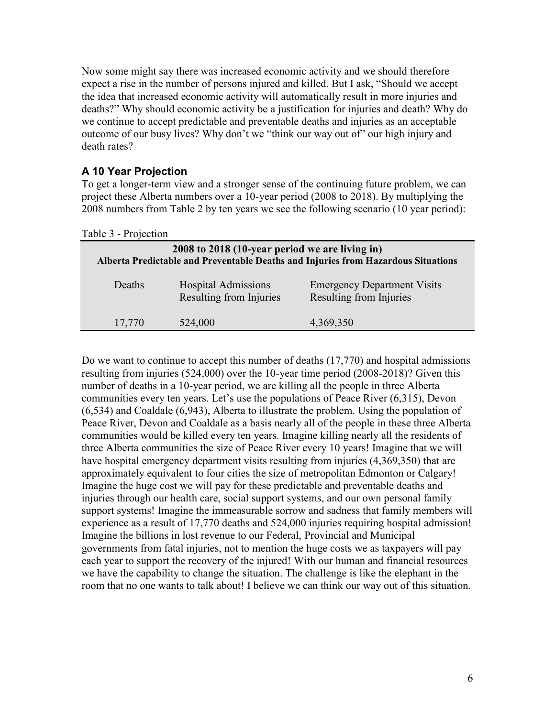Now some might say there was increased economic activity and we should therefore expect a rise in the number of persons injured and killed. But I ask, "Should we accept the idea that increased economic activity will automatically result in more injuries and deaths?" Why should economic activity be a justification for injuries and death? Why do we continue to accept predictable and preventable deaths and injuries as an acceptable outcome of our busy lives? Why don't we "think our way out of" our high injury and death rates?

## **A 10 Year Projection**

To get a longer-term view and a stronger sense of the continuing future problem, we can project these Alberta numbers over a 10-year period (2008 to 2018). By multiplying the 2008 numbers from Table 2 by ten years we see the following scenario (10 year period):

Table 3 - Projection

| 2008 to 2018 (10-year period we are living in)<br>Alberta Predictable and Preventable Deaths and Injuries from Hazardous Situations |                                                              |                                                               |  |
|-------------------------------------------------------------------------------------------------------------------------------------|--------------------------------------------------------------|---------------------------------------------------------------|--|
| Deaths                                                                                                                              | <b>Hospital Admissions</b><br><b>Resulting from Injuries</b> | <b>Emergency Department Visits</b><br>Resulting from Injuries |  |
| 17,770                                                                                                                              | 524,000                                                      | 4,369,350                                                     |  |

Do we want to continue to accept this number of deaths (17,770) and hospital admissions resulting from injuries (524,000) over the 10-year time period (2008-2018)? Given this number of deaths in a 10-year period, we are killing all the people in three Alberta communities every ten years. Let's use the populations of Peace River (6,315), Devon (6,534) and Coaldale (6,943), Alberta to illustrate the problem. Using the population of Peace River, Devon and Coaldale as a basis nearly all of the people in these three Alberta communities would be killed every ten years. Imagine killing nearly all the residents of three Alberta communities the size of Peace River every 10 years! Imagine that we will have hospital emergency department visits resulting from injuries (4,369,350) that are approximately equivalent to four cities the size of metropolitan Edmonton or Calgary! Imagine the huge cost we will pay for these predictable and preventable deaths and injuries through our health care, social support systems, and our own personal family support systems! Imagine the immeasurable sorrow and sadness that family members will experience as a result of 17,770 deaths and 524,000 injuries requiring hospital admission! Imagine the billions in lost revenue to our Federal, Provincial and Municipal governments from fatal injuries, not to mention the huge costs we as taxpayers will pay each year to support the recovery of the injured! With our human and financial resources we have the capability to change the situation. The challenge is like the elephant in the room that no one wants to talk about! I believe we can think our way out of this situation.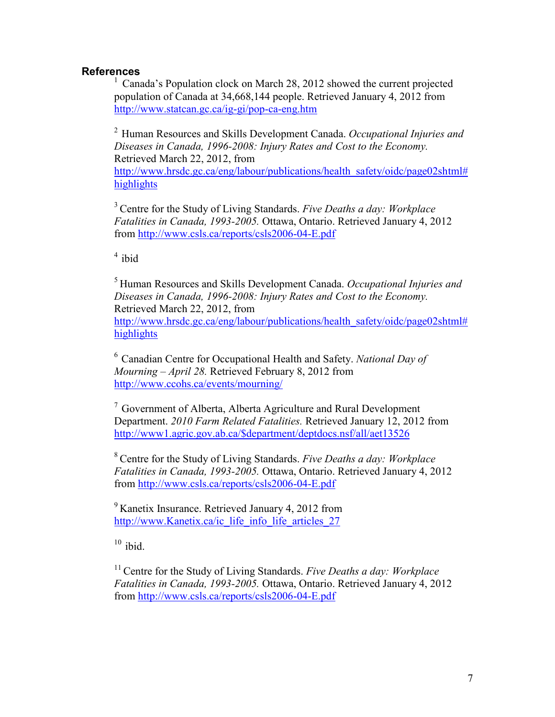### **References**

 $1$  Canada's Population clock on March 28, 2012 showed the current projected population of Canada at 34,668,144 people. Retrieved January 4, 2012 from <http://www.statcan.gc.ca/ig-gi/pop-ca-eng.htm>

<sup>2</sup>Human Resources and Skills Development Canada. *Occupational Injuries and Diseases in Canada, 1996-2008: Injury Rates and Cost to the Economy.*  Retrieved March 22, 2012, from

[http://www.hrsdc.gc.ca/eng/labour/publications/health\\_safety/oidc/page02shtml#](http://www.hrsdc.gc.ca/eng/labour/publications/health_safety/oidc/page02shtml#highlights) [highlights](http://www.hrsdc.gc.ca/eng/labour/publications/health_safety/oidc/page02shtml#highlights)

<sup>3</sup> Centre for the Study of Living Standards. *Five Deaths a day: Workplace Fatalities in Canada, 1993-2005.* Ottawa, Ontario. Retrieved January 4, 2012 from<http://www.csls.ca/reports/csls2006-04-E.pdf>

 $4$  ibid

<sup>5</sup>Human Resources and Skills Development Canada. *Occupational Injuries and Diseases in Canada, 1996-2008: Injury Rates and Cost to the Economy.*  Retrieved March 22, 2012, from [http://www.hrsdc.gc.ca/eng/labour/publications/health\\_safety/oidc/page02shtml#](http://www.hrsdc.gc.ca/eng/labour/publications/health_safety/oidc/page02shtml#highlights) [highlights](http://www.hrsdc.gc.ca/eng/labour/publications/health_safety/oidc/page02shtml#highlights)

<sup>6</sup>Canadian Centre for Occupational Health and Safety. *National Day of Mourning – April 28.* Retrieved February 8, 2012 from <http://www.ccohs.ca/events/mourning/>

<sup>7</sup>Government of Alberta, Alberta Agriculture and Rural Development Department. *2010 Farm Related Fatalities.* Retrieved January 12, 2012 from [http://www1.agric.gov.ab.ca/\\$department/deptdocs.nsf/all/aet13526](http://www1.agric.gov.ab.ca/$department/deptdocs.nsf/all/aet13526)

<sup>8</sup> Centre for the Study of Living Standards. *Five Deaths a day: Workplace Fatalities in Canada, 1993-2005.* Ottawa, Ontario. Retrieved January 4, 2012 from<http://www.csls.ca/reports/csls2006-04-E.pdf>

<sup>9</sup> Kanetix Insurance. Retrieved January 4, 2012 from [http://www.Kanetix.ca/ic\\_life\\_info\\_life\\_articles\\_27](http://www.kanetix.ca/ic_life_info_life_articles_27)

 $10$  ibid.

<sup>11</sup> Centre for the Study of Living Standards. *Five Deaths a day: Workplace Fatalities in Canada, 1993-2005.* Ottawa, Ontario. Retrieved January 4, 2012 from<http://www.csls.ca/reports/csls2006-04-E.pdf>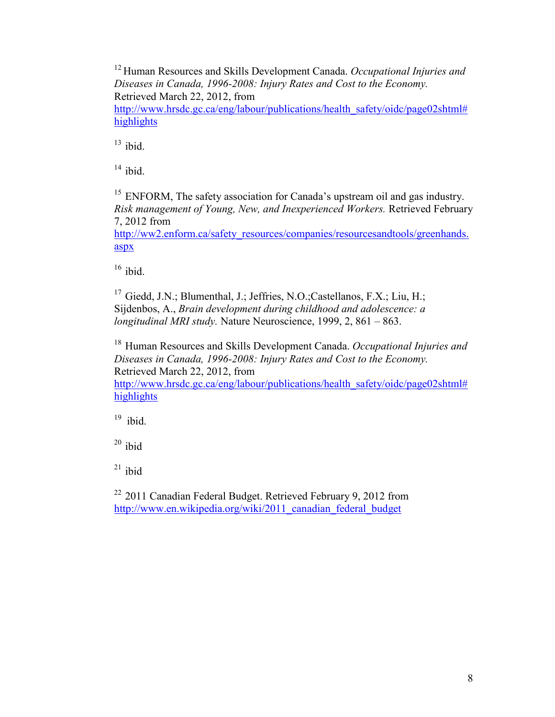<sup>12</sup> Human Resources and Skills Development Canada. *Occupational Injuries and Diseases in Canada, 1996-2008: Injury Rates and Cost to the Economy.*  Retrieved March 22, 2012, from

[http://www.hrsdc.gc.ca/eng/labour/publications/health\\_safety/oidc/page02shtml#](http://www.hrsdc.gc.ca/eng/labour/publications/health_safety/oidc/page02shtml#highlights) [highlights](http://www.hrsdc.gc.ca/eng/labour/publications/health_safety/oidc/page02shtml#highlights)

 $13$  ibid.

 $14$  ibid.

<sup>15</sup> ENFORM, The safety association for Canada's upstream oil and gas industry. *Risk management of Young, New, and Inexperienced Workers.* Retrieved February 7, 2012 from

[http://ww2.enform.ca/safety\\_resources/companies/resourcesandtools/greenhands.](http://ww2.enform.ca/safety_resources/companies/resourcesandtools/greenhands.aspx) [aspx](http://ww2.enform.ca/safety_resources/companies/resourcesandtools/greenhands.aspx)

 $16$  ibid.

<sup>17</sup> Giedd, J.N.; Blumenthal, J.; Jeffries, N.O.; Castellanos, F.X.; Liu, H.; Sijdenbos, A., *Brain development during childhood and adolescence: a longitudinal MRI study.* Nature Neuroscience, 1999, 2, 861 – 863.

<sup>18</sup> Human Resources and Skills Development Canada. *Occupational Injuries and Diseases in Canada, 1996-2008: Injury Rates and Cost to the Economy.*  Retrieved March 22, 2012, from

[http://www.hrsdc.gc.ca/eng/labour/publications/health\\_safety/oidc/page02shtml#](http://www.hrsdc.gc.ca/eng/labour/publications/health_safety/oidc/page02shtml#highlights) [highlights](http://www.hrsdc.gc.ca/eng/labour/publications/health_safety/oidc/page02shtml#highlights)

 $19$  ibid.

 $20$  ibid

 $21$  ibid

 $22$  2011 Canadian Federal Budget. Retrieved February 9, 2012 from [http://www.en.wikipedia.org/wiki/2011\\_canadian\\_federal\\_budget](http://www.en.wikipedia.org/wiki/2011_canadian_federal_budget)